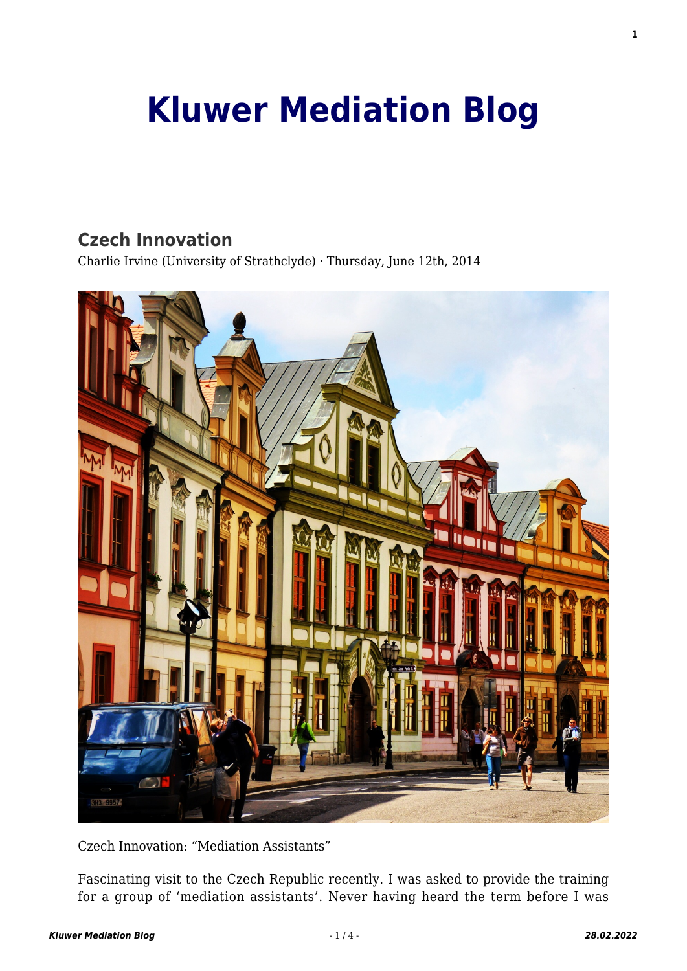## **[Kluwer Mediation Blog](http://mediationblog.kluwerarbitration.com/)**

## **[Czech Innovation](http://mediationblog.kluwerarbitration.com/2014/06/12/czech-innovation/)**

Charlie Irvine (University of Strathclyde) · Thursday, June 12th, 2014



Czech Innovation: "Mediation Assistants"

Fascinating visit to the Czech Republic recently. I was asked to provide the training for a group of 'mediation assistants'. Never having heard the term before I was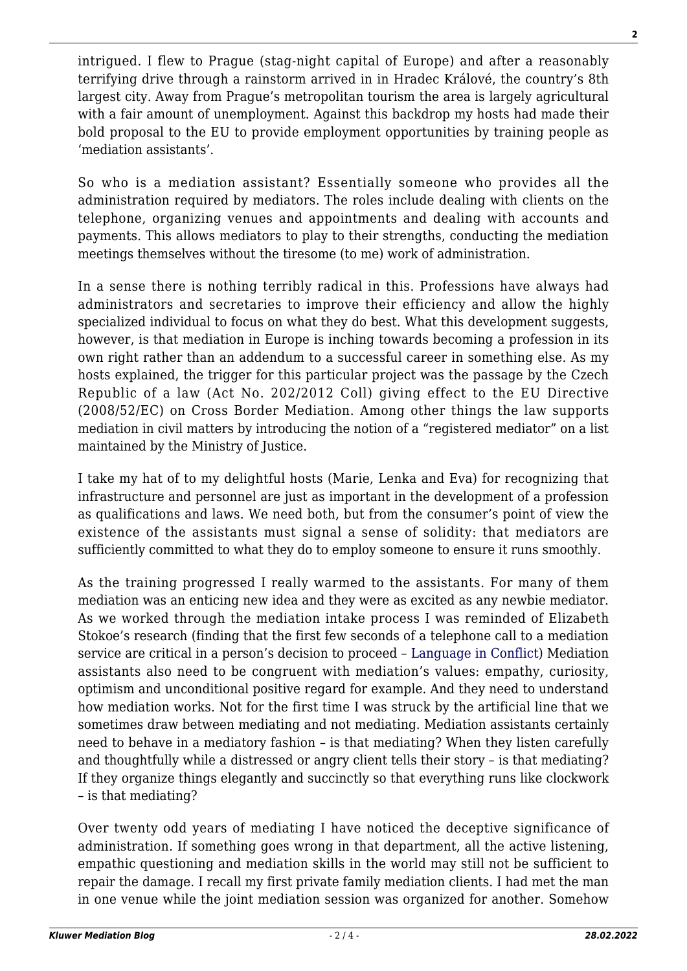intrigued. I flew to Prague (stag-night capital of Europe) and after a reasonably terrifying drive through a rainstorm arrived in in Hradec Králové, the country's 8th largest city. Away from Prague's metropolitan tourism the area is largely agricultural with a fair amount of unemployment. Against this backdrop my hosts had made their bold proposal to the EU to provide employment opportunities by training people as 'mediation assistants'.

So who is a mediation assistant? Essentially someone who provides all the administration required by mediators. The roles include dealing with clients on the telephone, organizing venues and appointments and dealing with accounts and payments. This allows mediators to play to their strengths, conducting the mediation meetings themselves without the tiresome (to me) work of administration.

In a sense there is nothing terribly radical in this. Professions have always had administrators and secretaries to improve their efficiency and allow the highly specialized individual to focus on what they do best. What this development suggests, however, is that mediation in Europe is inching towards becoming a profession in its own right rather than an addendum to a successful career in something else. As my hosts explained, the trigger for this particular project was the passage by the Czech Republic of a law (Act No. 202/2012 Coll) giving effect to the EU Directive (2008/52/EC) on Cross Border Mediation. Among other things the law supports mediation in civil matters by introducing the notion of a "registered mediator" on a list maintained by the Ministry of Justice.

I take my hat of to my delightful hosts (Marie, Lenka and Eva) for recognizing that infrastructure and personnel are just as important in the development of a profession as qualifications and laws. We need both, but from the consumer's point of view the existence of the assistants must signal a sense of solidity: that mediators are sufficiently committed to what they do to employ someone to ensure it runs smoothly.

As the training progressed I really warmed to the assistants. For many of them mediation was an enticing new idea and they were as excited as any newbie mediator. As we worked through the mediation intake process I was reminded of Elizabeth Stokoe's research (finding that the first few seconds of a telephone call to a mediation service are critical in a person's decision to proceed – [Language in Conflict\)](http://www.languageinconflict.org/90-frontpage/169-from-talk-to-text-using-the-conversation-analytic-role-play-method-to-engage-potential-mediation-clients-in-spoken-and-written-communication.html) Mediation assistants also need to be congruent with mediation's values: empathy, curiosity, optimism and unconditional positive regard for example. And they need to understand how mediation works. Not for the first time I was struck by the artificial line that we sometimes draw between mediating and not mediating. Mediation assistants certainly need to behave in a mediatory fashion – is that mediating? When they listen carefully and thoughtfully while a distressed or angry client tells their story – is that mediating? If they organize things elegantly and succinctly so that everything runs like clockwork – is that mediating?

Over twenty odd years of mediating I have noticed the deceptive significance of administration. If something goes wrong in that department, all the active listening, empathic questioning and mediation skills in the world may still not be sufficient to repair the damage. I recall my first private family mediation clients. I had met the man in one venue while the joint mediation session was organized for another. Somehow

**2**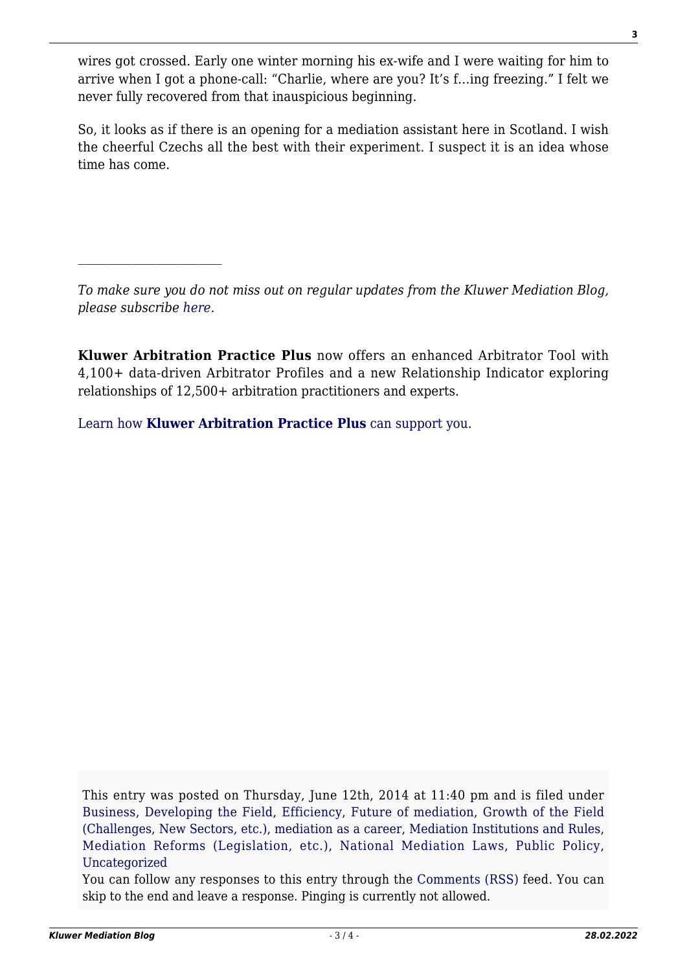wires got crossed. Early one winter morning his ex-wife and I were waiting for him to arrive when I got a phone-call: "Charlie, where are you? It's f…ing freezing." I felt we never fully recovered from that inauspicious beginning.

So, it looks as if there is an opening for a mediation assistant here in Scotland. I wish the cheerful Czechs all the best with their experiment. I suspect it is an idea whose time has come.

*To make sure you do not miss out on regular updates from the Kluwer Mediation Blog, please subscribe [here.](http://mediationblog.kluwerarbitration.com/newsletter/)*

**Kluwer Arbitration Practice Plus** now offers an enhanced Arbitrator Tool with 4,100+ data-driven Arbitrator Profiles and a new Relationship Indicator exploring relationships of 12,500+ arbitration practitioners and experts.

[Learn how](https://www.wolterskluwer.com/en/solutions/kluwerarbitration/practiceplus?utm_source=mediationblog&utm_medium=articleCTA&utm_campaign=article-banner) **[Kluwer Arbitration Practice Plus](https://www.wolterskluwer.com/en/solutions/kluwerarbitration/practiceplus?utm_source=mediationblog&utm_medium=articleCTA&utm_campaign=article-banner)** [can support you.](https://www.wolterskluwer.com/en/solutions/kluwerarbitration/practiceplus?utm_source=mediationblog&utm_medium=articleCTA&utm_campaign=article-banner)



This entry was posted on Thursday, June 12th, 2014 at 11:40 pm and is filed under [Business,](http://mediationblog.kluwerarbitration.com/category/business/) [Developing the Field,](http://mediationblog.kluwerarbitration.com/category/developing-the-field/) [Efficiency,](http://mediationblog.kluwerarbitration.com/category/efficiency/) [Future of mediation,](http://mediationblog.kluwerarbitration.com/category/future-of-mediation/) [Growth of the Field](http://mediationblog.kluwerarbitration.com/category/growth-of-the-field-challenges-new-sectors-etc/) [\(Challenges, New Sectors, etc.\),](http://mediationblog.kluwerarbitration.com/category/growth-of-the-field-challenges-new-sectors-etc/) [mediation as a career](http://mediationblog.kluwerarbitration.com/category/mediation-as-a-career/), [Mediation Institutions and Rules,](http://mediationblog.kluwerarbitration.com/category/mediation-institutions-and-rules/) [Mediation Reforms \(Legislation, etc.\),](http://mediationblog.kluwerarbitration.com/category/mediation-reforms-legislation-etc/) [National Mediation Laws](http://mediationblog.kluwerarbitration.com/category/national-mediation-laws/), [Public Policy,](http://mediationblog.kluwerarbitration.com/category/public-policy/) [Uncategorized](http://mediationblog.kluwerarbitration.com/category/uncategorized/)

You can follow any responses to this entry through the [Comments \(RSS\)](http://mediationblog.kluwerarbitration.com/comments/feed/) feed. You can skip to the end and leave a response. Pinging is currently not allowed.